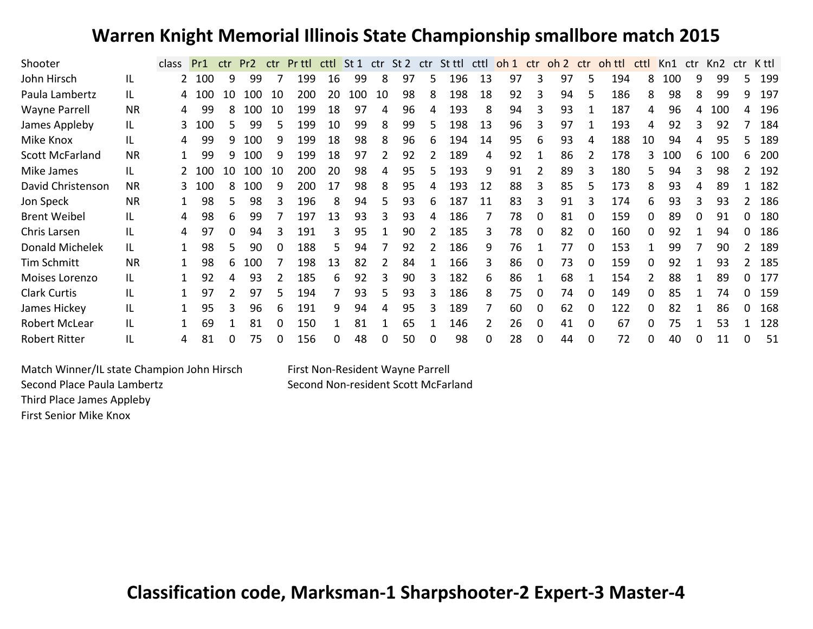## **Warren Knight Memorial Illinois State Championship smallbore match 2015**

| Shooter                |           | <b>class</b> | Pr1 | ctr | Pr <sub>2</sub> | ctr | Pr ttl | cttl | St <sub>1</sub> |    | ctr St 2 | ctr      | St ttl | cttl          | oh <sub>1</sub> | ctr      | oh 2 ctr |   | oh ttl | cttl | Kn1 | ctr | Kn2 | ctr | K ttl |
|------------------------|-----------|--------------|-----|-----|-----------------|-----|--------|------|-----------------|----|----------|----------|--------|---------------|-----------------|----------|----------|---|--------|------|-----|-----|-----|-----|-------|
| John Hirsch            | IL        |              | 100 | 9   | 99              |     | 199    | 16   | 99              | 8  | 97       | 5        | 196    | 13            | 97              | 3        | 97       | 5 | 194    | 8    | 100 |     | 99  |     | 199   |
| Paula Lambertz         | IL        |              | 100 | 10  | 100             | 10  | 200    | 20   | 100             | 10 | 98       | 8        | 198    | 18            | 92              |          | 94       |   | 186    | 8    | 98  | 8   | 99  | 9   | 197   |
| <b>Wayne Parrell</b>   | <b>NR</b> | 4            | 99  |     | 100             | 10  | 199    | 18   | 97              |    | 96       |          | 193    | 8             | 94              |          | 93       |   | 187    | 4    | 96  |     | 100 |     | 196   |
| James Appleby          | IL.       |              | 100 |     | 99              |     | 199    | 10   | 99              | 8  | 99       |          | 198    | 13            | 96              |          | 97       |   | 193    | 4    | 92  |     | 92  |     | 184   |
| Mike Knox              | IL        | 4            | 99  |     | 100             | 9   | 199    | 18   | 98              | 8  | 96       | 6        | 194    | 14            | 95              | 6        | 93       | 4 | 188    | 10   | 94  |     | 95  |     | 189   |
| <b>Scott McFarland</b> | <b>NR</b> |              | 99  |     | 100             | q   | 199    | 18   | 97              |    | 92       |          | 189    | 4             | 92              |          | 86       |   | 178    |      | 100 |     | 100 | 6   | 200   |
| Mike James             | IL        |              | 100 |     | 100             | 10  | 200    | 20   | 98              |    | 95       |          | 193    | 9             | 91              |          | 89       | 3 | 180    | 5.   | 94  |     | 98  |     | 192   |
| David Christenson      | <b>NR</b> |              | 100 |     | 100             | q   | 200    | 17   | 98              | 8  | 95       |          | 193    | 12            | 88              | ς        | 85       | 5 | 173    | 8    | 93  |     | 89  |     | 182   |
| Jon Speck              | <b>NR</b> |              | 98  |     | 98              |     | 196    | 8    | 94              |    | 93       | 6        | 187    | 11            | 83              | 3        | 91       | 3 | 174    | 6    | 93  |     | 93  |     | 186   |
| <b>Brent Weibel</b>    | IL        |              | 98  | 6   | 99              |     | 197    | 13   | 93              |    | 93       |          | 186    |               | 78              | 0        | 81       | 0 | 159    | 0    | 89  |     | 91  |     | 180   |
| Chris Larsen           | IL        |              | 97  |     | 94              |     | 191    |      | 95              |    | 90       |          | 185    | 3             | 78              | 0        | 82       | 0 | 160    | 0    | 92  |     | 94  |     | 186   |
| Donald Michelek        | IL.       |              | 98  |     | 90              |     | 188    | 5    | 94              |    | 92       |          | 186    | 9             | 76              |          | 77       | 0 | 153    |      | 99  |     | 90  |     | 189   |
| <b>Tim Schmitt</b>     | <b>NR</b> |              | 98  |     | 100             |     | 198    | 13   | 82              |    | 84       |          | 166    | 3             | 86              | 0        | 73       | 0 | 159    | 0    | 92  |     | 93  |     | 185   |
| Moises Lorenzo         | IL        |              | 92  |     | 93              |     | 185    | 6    | 92              |    | 90       |          | 182    | 6             | 86              |          | 68       |   | 154    |      | 88  |     | 89  |     | 177   |
| <b>Clark Curtis</b>    | IL        |              | 97  |     | 97              |     | 194    |      | 93              |    | 93       |          | 186    | 8             | 75              | 0        | 74       |   | 149    |      | 85  |     | 74  |     | 159   |
| James Hickey           | IL        |              | 95  |     | 96              | 6   | 191    | 9    | 94              |    | 95       |          | 189    |               | 60              | 0        | 62       | 0 | 122    |      | 82  |     | 86  |     | 168   |
| <b>Robert McLear</b>   | IL        |              | 69  |     | 81              |     | 150    |      | 81              |    | 65       |          | 146    | $\mathcal{P}$ | 26              | 0        | 41       | 0 | 67     |      | 75  |     | 53  |     | 128   |
| <b>Robert Ritter</b>   | IL        |              | 81  |     | 75              | O   | 156    | 0    | 48              |    | 50       | $\Omega$ | 98     | 0             | 28              | $\Omega$ | 44       | 0 | 72     | 0    | 40  |     | 11  |     | 51    |

Match Winner/IL state Champion John Hirsch First Non-Resident Wayne Parrell Second Place Paula Lambertz **Second Non-resident Scott McFarland** Third Place James Appleby First Senior Mike Knox

**Classification code, Marksman-1 Sharpshooter-2 Expert-3 Master-4**